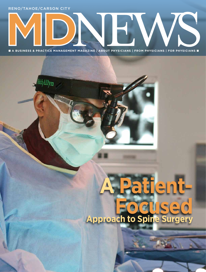Reno/tahoe/carson city



■ **A Business & Practice Management Magazine | about physicians | from physicians | for physicians** ■

## **A Patient-**USE0 **Approach to Spine Surger**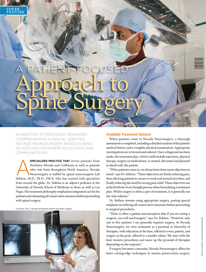# A PATIENT-FOCUSED Approach to Spine Surgery

In addition to providing advanced, comprehensive surgical services, Nevada Neurosurgery, based in Reno, NV, focuses on patient education and communication.

**SPECIALIZED PRACTICE THAT** serves patients from<br>Northern Nevada and California as well as patients<br>who visit from throughout North America, Nevada<br>Neurosurgery is staffed by spinal neurosurgeon Lali<br>Sekhon, M.D., Ph.D., F Northern Nevada and California as well as patients who visit from throughout North America, Nevada Neurosurgery is staffed by spinal neurosurgeon Lali Sekhon, M.D., Ph.D., FACS, who has trained with specialists from around the globe. Dr. Sekhon is an adjunct professor at the University of Nevada School of Medicine in Reno as well as Las Vegas. His treatment philosophy emphasizes integrated care for his patients and exhausting all conservative measures before proceeding with spinal surgery.

Lisa Herz, PA-C, reviews all patients before and after surgery.



#### **Available Treatment Options**

When patients come to Nevada Neurosurgery, a thorough assessment is completed, including a detailed analysis of the patient's medical history and a complete physical examination. Appropriate investigations are reviewed and ordered. Once a diagnosis has been made, the treatment plan, which could include injections, physical therapy, surgery or medications, is created, discussed and planned in detail with the patient.

Dr. Sekhon operates under the microscope using minimally invasive techniques.

"When patients come in, we always have three main objectives in mind," says Dr. Sekhon. "These objectives are firstly reducing pain, then allowing patients to return to work and normal activities, and finally reducing the need for strong pain relief. These objectives are at the forefront of our thought process when formulating a treatment plan. Whilst surgery is often a part of treatment, it is generally not the only solution."

Dr. Sekhon stresses using appropriate surgery, putting special emphasis on utilizing all conservative measures before proceeding to surgical procedures.

"There is often a patient misconception that if you are seeing a surgeon, you will need surgery," says Dr. Sekhon. "However, only one in five patients I see generally requires surgery. At Nevada Neurosurgery, we view treatment as a pyramid or hierarchy of therapies, with education at the base, offered to every patient, and surgery at the peak, offered to a smaller subset. We start with the least invasive procedures and move up the pyramid of therapies depending on the response."

If surgery becomes a necessity, Nevada Neurosurgery offers the latest cutting-edge techniques in motion preservation surgery,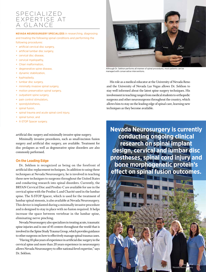### Specialized Expertise at a Glance

#### **Nevada Neurosurgery specializes** in researching, diagnosing

and treating the following spinal conditions and performing the following procedures:

- + artificial cervical disc surgery,
- + artificial lumbar disc surgery,
- + cervical disc disease,
- + cervical myelopathy,
- + Chiari malformation,
- + degenerative spine disease,
- + dynamic stabilization,
- + kyphoplasty,
- + lumbar disc surgery,
- + minimally invasive spinal surgery,
- + motion preservation spinal surgery,
- + outpatient spine surgery,
- + pain control stimulators,
- + spondylolisthesis,
- + spinal fusion,
- + spinal trauma and acute spinal cord injury,
- + spinal tumor, and
- + X-STOP Spacer surgery.

artificial disc surgery and minimally invasive spine surgery.

Minimally invasive procedures, such as small-incision fusion surgery and artificial disc surgery, are available. Treatment for disc prolapses as well as degenerative spine disorders are also commonly performed.

#### **On the Leading Edge**

Dr. Sekhon is recognized as being on the forefront of artificial disc replacement techniques. In addition to using these techniques at Nevada Neurosurgery, he is involved in teaching these new techniques to surgeons throughout the United States and conducting research into spinal disorders. Currently, the BRYAN Cervical Disc and Prodisc-C are available for use in the cervical spine with the Prodisc-L and Charité used in the lumbar spine. The X-STOP Spacer, which is used for the treatment of lumbar spinal stenosis, is also available at Nevada Neurosurgery. This device is implanted during a minimally invasive procedure and is designed to stay in place with no fusion required. It helps increase the space between vertebrae in the lumbar spine, eliminating nerve pinching.

Nevada Neurosurgery also specializes in treating acute, traumatic spine injuries and is one of 45 centers throughout the world that is involved in the Spine Study Trauma Group, which provides guidance to other surgeons on how to effectively manage spinal trauma cases.

"Having 10-plus years of experience in artificial disc surgery in the cervical spine and more than 20 years experience in neurosurgery allows Nevada Neurosurgery to offer national-level expertise," says Dr. Sekhon.



Although Dr. Sekhon performs all manner of spinal procedures, most patients can be managed with conservative interventions.

His role as a medical educator at the University of Nevada Reno and the University of Nevada Las Vegas allows Dr. Sekhon to stay well informed about the latest spine surgery techniques. His involvement in teaching ranges from medical students to orthopedic surgeons and other neurosurgeons throughout the country, which allows him to stay on the leading edge of spinal care, learning new techniques as they become available.

**Nevada Neurosurgery is currently conducting ongoing clinical research on spinal implant design, cervical and lumbar disc prostheses, spinal cord injury and bone morphogenetic protein's effect on spinal fusion outcomes.**